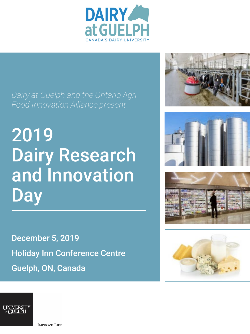

2019 Dairy Research and Innovation **Day** 

December 5, 2019 Holiday Inn Conference Centre Guelph, ON, Canada











**IMPROVE LIFE.**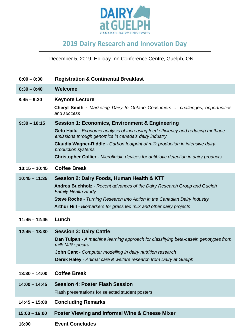

# **2019 Dairy Research and Innovation Day**

December 5, 2019, Holiday Inn Conference Centre, Guelph, ON

- **8:00 – 8:30 Registration & Continental Breakfast**
- **8:30 – 8:40 Welcome**
- **8:45 – 9:30 Keynote Lecture**

**Cheryl Smith** *- Marketing Dairy to Ontario Consumers … challenges, opportunities and success*

**9:30 – 10:15 Session 1: Economics, Environment & Engineering**

**Getu Hailu** *- Economic analysis of increasing feed efficiency and reducing methane emissions through genomics in canada's dairy industry*

**Claudia Wagner-Riddle** *- Carbon footprint of milk production in intensive dairy production systems*

**Christopher Collier** *- Microfluidic devices for antibiotic detection in dairy products*

- **10:15 – 10:45 Coffee Break**
- **10:45 – 11:35 Session 2: Dairy Foods, Human Health & KTT Andrea Buchholz** *- Recent advances of the Dairy Research Group and Guelph Family Health Study* **Steve Roche** *- Turning Research Into Action in the Canadian Dairy Industry* **Arthur Hill** *- Biomarkers for grass fed milk and other dairy projects*
- **11:45 – 12:45 Lunch**

**12:45 – 13:30 Session 3: Dairy Cattle**

**Dan Tulpan** *- A machine learning approach for classifying beta-casein genotypes from milk MIR spectra*

**John Cant** *- Computer modelling in dairy nutrition research*

**Derek Haley** *- Animal care & welfare research from Dairy at Guelph*

- **13:30 – 14:00 Coffee Break**
- **14:00 – 14:45 Session 4: Poster Flash Session**

Flash presentations for selected student posters

- **14:45 – 15:00 Concluding Remarks**
- **15:00 – 16:00 Poster Viewing and Informal Wine & Cheese Mixer**
- **16:00 Event Concludes**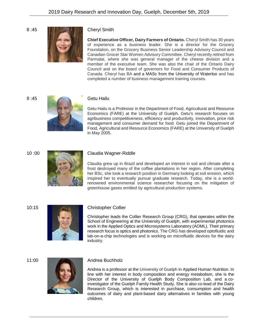

**Chief Executive Officer, Dairy Farmers of Ontario.** Cheryl Smith has 30 years of experience as a business leader. She is a director for the Grocery Foundation, on the Grocery Business Senior Leadership Advisory Council and Canadian Grocer Star Women Advisory Committee. Cheryl recently retired from Parmalat, where she was general manager of the cheese division and a member of the executive team. She was also the chair of the Ontario Dairy Council and on the board of governors for Food and Consumer Products of Canada. Cheryl has BA and a MASc from the University of Waterloo and has completed a number of business management training courses.





Getu Hailu is a Professor in the Department of Food, Agricultural and Resource Economics (FARE) at the University of Guelph. Getu's research focuses on agribusiness competitiveness, efficiency and productivity, innovation, price risk management and consumer demand for food. Getu joined the Department of Food, Agricultural and Resource Economics (FARE) at the University of Guelph in May 2005.



## 10 :00 Claudia Wagner-Riddle

Claudia grew up in Brazil and developed an interest in soil and climate after a frost destroyed many of the coffee plantations in her region. After completing her BSc, she took a research position in Germany looking at soil erosion, which inspired her to eventually pursue graduate research. Today, she is a worldrenowned environmental science researcher focusing on the mitigation of greenhouse gases emitted by agricultural production systems.



### 10:15 Christopher Collier

Christopher leads the Collier Research Group (CRG), that operates within the School of Engineering at the University of Guelph, with experimental photonics work in the Applied Optics and Microsystems Laboratory (AOML). Their primary research focus is optics and photonics. The CRG has developed optofluidic and lab-on-a-chip technologies and is working on microfluidic devices for the dairy industry.



Andrea is a professor at the University of Guelph in Applied Human Nutrition. In line with her interest in body composition and energy metabolism, she is the Director of the University of Guelph Body Composition Lab, and a coinvestigator of the Guelph Family Health Study. She is also co-lead of the Dairy Research Group, which is interested in purchase, consumption and health outcomes of dairy and plant-based dairy alternatives in families with young children.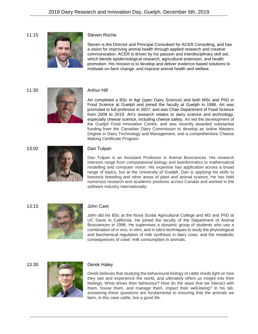

Steven is the Director and Principal Consultant for ACER Consulting, and has a vision for improving animal health through applied research and creative communication. ACER is driven by his passion and interdisciplinary skill set, which blends epidemiological research, agricultural extension, and health promotion. His mission is to develop and deliver evidence-based solutions to motivate on-farm change, and improve animal health and welfare.



Art completed a BSc in Agr (spec Dairy Science) and both MSc and PhD in Food Science at Guelph and joined the faculty at Guelph in 1986. Art was promoted to full professor in 2007, and was Chair Department of Food Science from 2009 to 2019. Art's research relates to dairy science and technology, especially cheese science, including cheese safety. Art led the development of the Guelph Food Innovation Centre, and was recently awarded substantial funding from the Canadian Dairy Commission to develop an online Masters Degree in Dairy Technology and Management, and a comprehensive Cheese Making Certificate Program.





Dan Tulpan is an Assistant Professor in Animal Biosciences. His research interests range from computational biology and bioinformatics to mathematical modelling and computer vision. His expertise has application across a broad range of topics, but at the University of Guelph, Dan is applying his skills to livestock breeding and other areas of plant and animal science. He has held numerous research and academic positions across Canada and worked in the software industry internationally.



John did his BSc at the Nova Scotia Agricultural College and MS and PhD at UC Davis in California. He joined the faculty of the Department of Animal Biosciences in 1996. He supervises a dynamic group of students who use a combination of in vivo, in vitro, and in silico techniques to study the physiological and biochemical regulation of milk synthesis in dairy cows, and the metabolic consequences of cows' milk consumption in animals.



Derek believes that studying the behavioural biology of cattle sheds light on how they see and experience the world, and ultimately offers us insight into their feelings. What drives their behaviour? How do the ways that we interact with them, house them, and manage them, impact their well-being? In his lab, answering these questions are fundamental to ensuring that the animals we farm, in this case cattle, live a good life.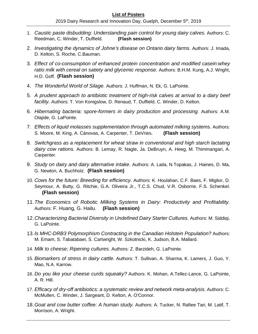- 1. *Caustic paste disbudding: Understanding pain control for young dairy calves.* Authors: C. Reedman, C. Winder, T. Duffield. **(Flash session)**
- 2. *Investigating the dynamics of Johne's disease on Ontario dairy farms.* Authors: J. Imada, D. Kelton, S. Roche, C.Bauman.
- 3. *Effect of co-consumption of enhanced protein concentration and modified casein:whey ratio milk with cereal on satiety and glycemic response.* Authors: B.H.M. Kung, A.J. Wright, H.D. Goff. **(Flash session)**
- 4. *The Wonderful World of Silage.* Authors: J. Huffman, N. Ek, G. LaPointe.
- 5. *A prudent approach to antibiotic treatment of high-risk calves at arrival to a dairy beef facility.* Authors: T. Von Konigslow, D. Renaud, T. Duffield, C. Winder, D. Kelton.
- 6. *Hibernating bacteria: spore-formers in dairy production and processing.* Authors: A.M. Olajide, G. LaPointe.
- 7. *Effects of liquid molasses supplementation through automated milking systems.* Authors: S. Moore, M. King, A. Cánovas, A. Carpenter, T. DeVries. **(Flash session)**
- 8. *Switchgrass as a replacement for wheat straw in conventional and high starch lactating dairy cow rations.* Authors: B. Lemay, R. Nagle, Ja. DeBruyn, A. Heeg, M. Thimmangari, A. Carpenter.
- 9. *Study on dairy and dairy alternative intake.* Authors: A. Laila, N.Topakas, J. Haines, D. Ma, G. Newton, A. Buchholz. **(Flash session)**
- 10. *Cows for the future: Breeding for efficiency.* Authors: K. Houlahan, C.F. Baes, F. Miglior, D. Seymour, A. Butty, G. Ritchie, G.A. Oliveira Jr., T.C.S. Chud, V.R. Osborne. F.S. Schenkel. **(Flash session)**
- 11.*The Economics of Robotic Milking Systems in Dairy: Productivity and Profitability.* Authors: F. Huang, G. Hailu. **(Flash session)**
- 12.*Characterizing Bacterial Diversity in Undefined Dairy Starter Cultures.* Authors: M. Siddiqi, G. LaPointe.
- 13.*Is MHC-DRB3 Polymorphism Contracting in the Canadian Holstein Population?* Authors: M. Emam, S. Tabatabaei, S. Cartwright, W. Szkotnicki, K. Judson, B.A. Mallard.
- 14. *Milk to cheese; Ripening cultures.* Authors: Z. Barzideh, G. LaPointe.
- 15. *Biomarkers of stress in dairy cattle.* Authors: T. Sullivan, A. Sharma, K. Lamers, J. Guo, Y. Mao, N.A. Karrow.
- 16. *Do you like your cheese curds squeaky?* Authors: K. Mohan, A.Tellez-Lance, G. LaPointe, A. R. Hill.
- 17. *Efficacy of dry-off antibiotics: a systematic review and network meta-analysis.* Authors: C. McMullen, C. Winder, J. Sargeant, D. Kelton, A. O'Connor.
- 18.*Goat and cow butter coffee: A human study.* Authors: A. Tucker, N. Rafiee Tari, M. Latif, T. Morrison, A. Wright.